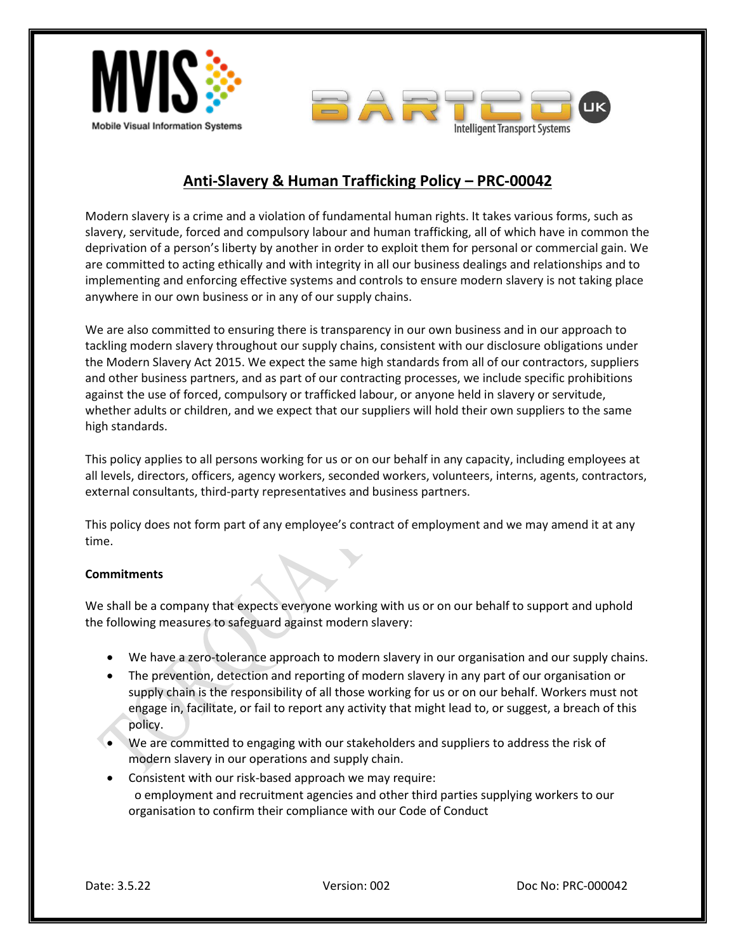



# **Anti-Slavery & Human Trafficking Policy – PRC-00042**

Modern slavery is a crime and a violation of fundamental human rights. It takes various forms, such as slavery, servitude, forced and compulsory labour and human trafficking, all of which have in common the deprivation of a person's liberty by another in order to exploit them for personal or commercial gain. We are committed to acting ethically and with integrity in all our business dealings and relationships and to implementing and enforcing effective systems and controls to ensure modern slavery is not taking place anywhere in our own business or in any of our supply chains.

We are also committed to ensuring there is transparency in our own business and in our approach to tackling modern slavery throughout our supply chains, consistent with our disclosure obligations under the Modern Slavery Act 2015. We expect the same high standards from all of our contractors, suppliers and other business partners, and as part of our contracting processes, we include specific prohibitions against the use of forced, compulsory or trafficked labour, or anyone held in slavery or servitude, whether adults or children, and we expect that our suppliers will hold their own suppliers to the same high standards.

This policy applies to all persons working for us or on our behalf in any capacity, including employees at all levels, directors, officers, agency workers, seconded workers, volunteers, interns, agents, contractors, external consultants, third-party representatives and business partners.

This policy does not form part of any employee's contract of employment and we may amend it at any time.

#### **Commitments**

We shall be a company that expects everyone working with us or on our behalf to support and uphold the following measures to safeguard against modern slavery:

- We have a zero-tolerance approach to modern slavery in our organisation and our supply chains.
- The prevention, detection and reporting of modern slavery in any part of our organisation or supply chain is the responsibility of all those working for us or on our behalf. Workers must not engage in, facilitate, or fail to report any activity that might lead to, or suggest, a breach of this policy.
- We are committed to engaging with our stakeholders and suppliers to address the risk of modern slavery in our operations and supply chain.
- Consistent with our risk-based approach we may require: o employment and recruitment agencies and other third parties supplying workers to our organisation to confirm their compliance with our Code of Conduct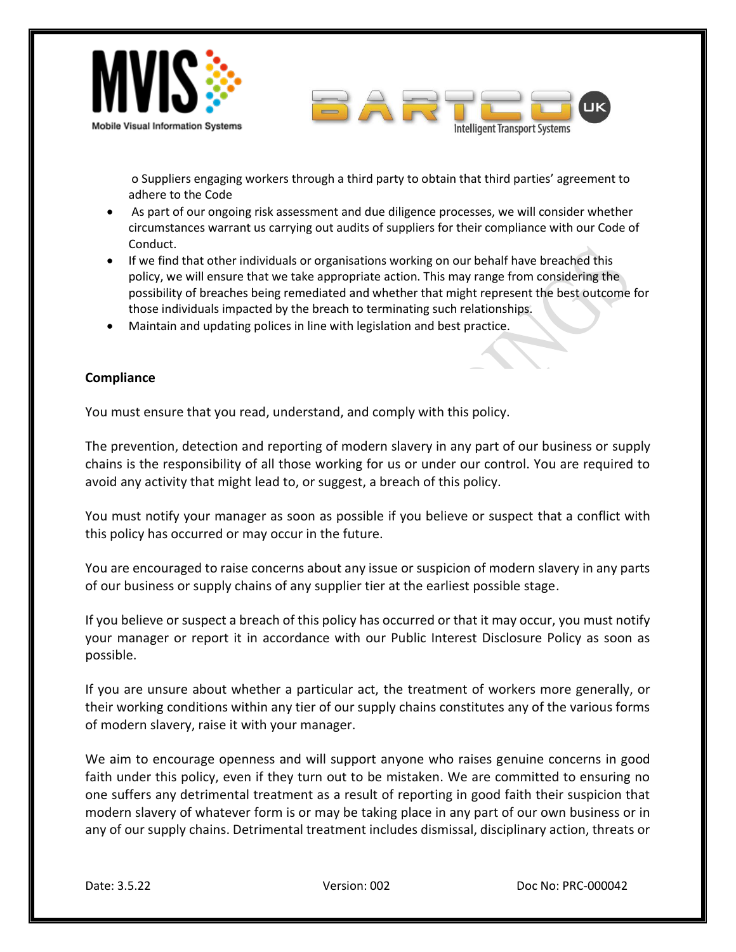



o Suppliers engaging workers through a third party to obtain that third parties' agreement to adhere to the Code

- As part of our ongoing risk assessment and due diligence processes, we will consider whether circumstances warrant us carrying out audits of suppliers for their compliance with our Code of Conduct.
- If we find that other individuals or organisations working on our behalf have breached this policy, we will ensure that we take appropriate action. This may range from considering the possibility of breaches being remediated and whether that might represent the best outcome for those individuals impacted by the breach to terminating such relationships.
- Maintain and updating polices in line with legislation and best practice.

### **Compliance**

You must ensure that you read, understand, and comply with this policy.

The prevention, detection and reporting of modern slavery in any part of our business or supply chains is the responsibility of all those working for us or under our control. You are required to avoid any activity that might lead to, or suggest, a breach of this policy.

You must notify your manager as soon as possible if you believe or suspect that a conflict with this policy has occurred or may occur in the future.

You are encouraged to raise concerns about any issue or suspicion of modern slavery in any parts of our business or supply chains of any supplier tier at the earliest possible stage.

If you believe or suspect a breach of this policy has occurred or that it may occur, you must notify your manager or report it in accordance with our Public Interest Disclosure Policy as soon as possible.

If you are unsure about whether a particular act, the treatment of workers more generally, or their working conditions within any tier of our supply chains constitutes any of the various forms of modern slavery, raise it with your manager.

We aim to encourage openness and will support anyone who raises genuine concerns in good faith under this policy, even if they turn out to be mistaken. We are committed to ensuring no one suffers any detrimental treatment as a result of reporting in good faith their suspicion that modern slavery of whatever form is or may be taking place in any part of our own business or in any of our supply chains. Detrimental treatment includes dismissal, disciplinary action, threats or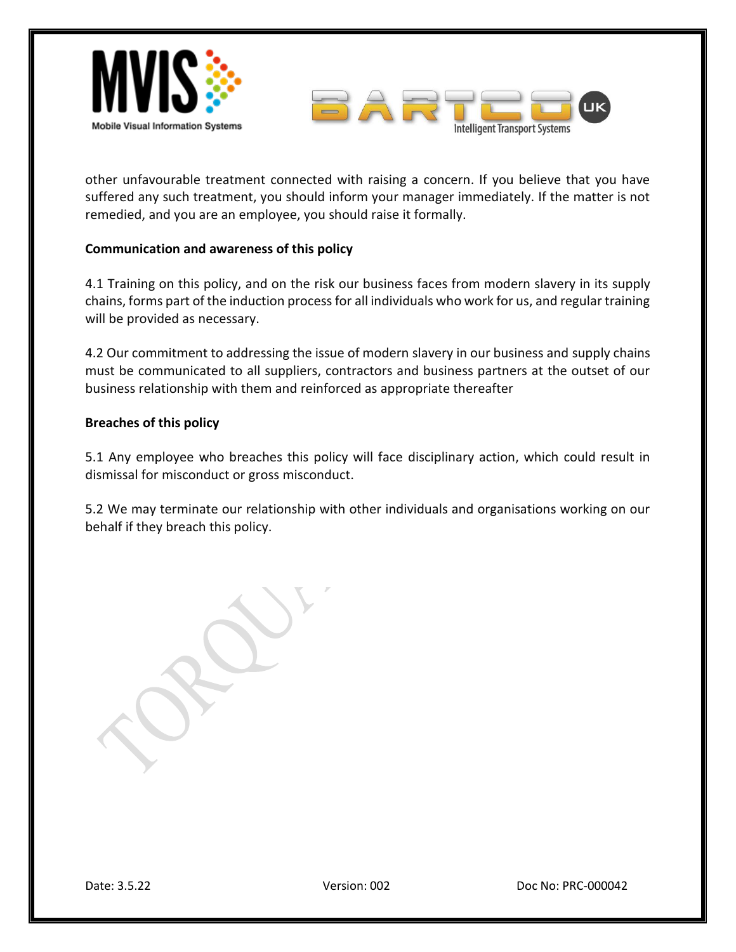



other unfavourable treatment connected with raising a concern. If you believe that you have suffered any such treatment, you should inform your manager immediately. If the matter is not remedied, and you are an employee, you should raise it formally.

### **Communication and awareness of this policy**

4.1 Training on this policy, and on the risk our business faces from modern slavery in its supply chains, forms part of the induction process for all individuals who work for us, and regular training will be provided as necessary.

4.2 Our commitment to addressing the issue of modern slavery in our business and supply chains must be communicated to all suppliers, contractors and business partners at the outset of our business relationship with them and reinforced as appropriate thereafter

## **Breaches of this policy**

5.1 Any employee who breaches this policy will face disciplinary action, which could result in dismissal for misconduct or gross misconduct.

5.2 We may terminate our relationship with other individuals and organisations working on our behalf if they breach this policy.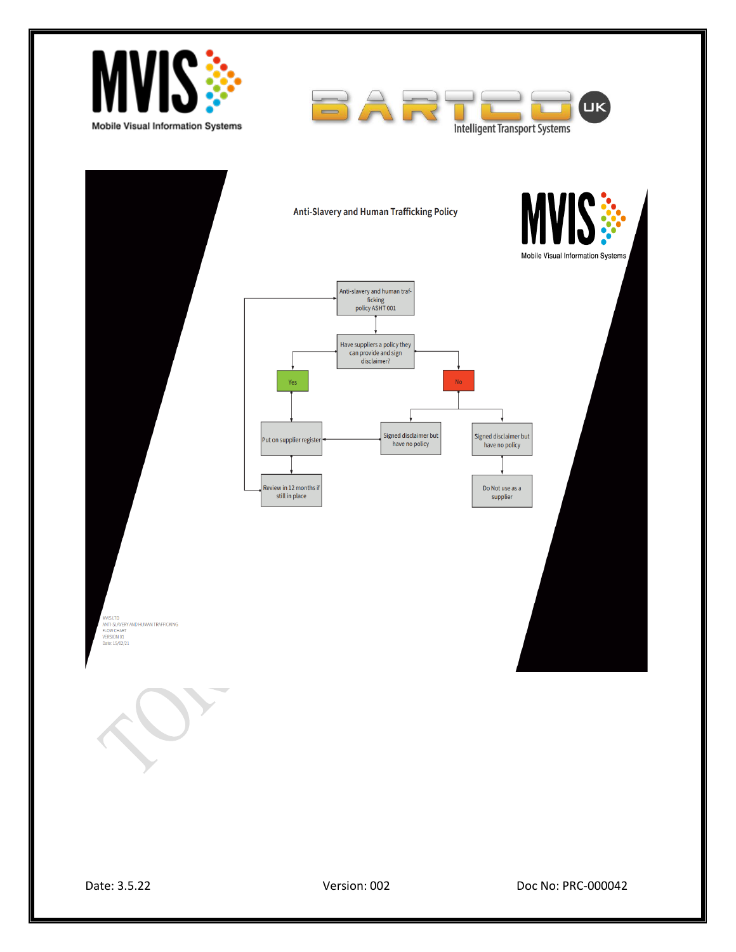

Date: 3.5.22 Version: 002 Doc No: PRC-000042